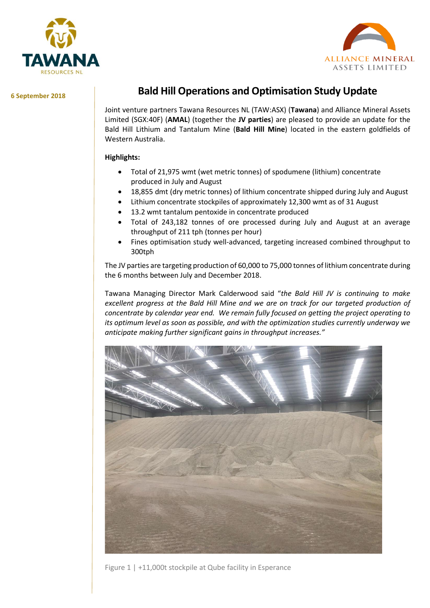



**6 September 2018**

# **Bald Hill Operations and Optimisation Study Update**

Joint venture partners Tawana Resources NL (TAW:ASX) (**Tawana**) and Alliance Mineral Assets Limited (SGX:40F) (**AMAL**) (together the **JV parties**) are pleased to provide an update for the Bald Hill Lithium and Tantalum Mine (**Bald Hill Mine**) located in the eastern goldfields of Western Australia.

## **Highlights:**

- Total of 21,975 wmt (wet metric tonnes) of spodumene (lithium) concentrate produced in July and August
- 18,855 dmt (dry metric tonnes) of lithium concentrate shipped during July and August
- Lithium concentrate stockpiles of approximately 12,300 wmt as of 31 August
- 13.2 wmt tantalum pentoxide in concentrate produced
- Total of 243,182 tonnes of ore processed during July and August at an average throughput of 211 tph (tonnes per hour)
- Fines optimisation study well-advanced, targeting increased combined throughput to 300tph

The JV parties are targeting production of 60,000 to 75,000 tonnes of lithium concentrate during the 6 months between July and December 2018.

Tawana Managing Director Mark Calderwood said "*the Bald Hill JV is continuing to make excellent progress at the Bald Hill Mine and we are on track for our targeted production of concentrate by calendar year end. We remain fully focused on getting the project operating to its optimum level as soon as possible, and with the optimization studies currently underway we anticipate making further significant gains in throughput increases."*



Figure 1 | +11,000t stockpile at Qube facility in Esperance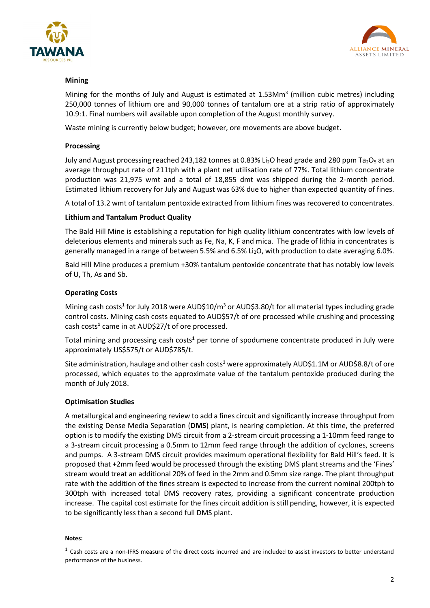



## **Mining**

Mining for the months of July and August is estimated at  $1.53$ Mm<sup>3</sup> (million cubic metres) including 250,000 tonnes of lithium ore and 90,000 tonnes of tantalum ore at a strip ratio of approximately 10.9:1. Final numbers will available upon completion of the August monthly survey.

Waste mining is currently below budget; however, ore movements are above budget.

#### **Processing**

July and August processing reached 243,182 tonnes at 0.83% Li<sub>2</sub>O head grade and 280 ppm Ta<sub>2</sub>O<sub>5</sub> at an average throughput rate of 211tph with a plant net utilisation rate of 77%. Total lithium concentrate production was 21,975 wmt and a total of 18,855 dmt was shipped during the 2-month period. Estimated lithium recovery for July and August was 63% due to higher than expected quantity of fines.

A total of 13.2 wmt of tantalum pentoxide extracted from lithium fines was recovered to concentrates.

## **Lithium and Tantalum Product Quality**

The Bald Hill Mine is establishing a reputation for high quality lithium concentrates with low levels of deleterious elements and minerals such as Fe, Na, K, F and mica. The grade of lithia in concentrates is generally managed in a range of between 5.5% and 6.5% Li<sub>2</sub>O, with production to date averaging 6.0%.

Bald Hill Mine produces a premium +30% tantalum pentoxide concentrate that has notably low levels of U, Th, As and Sb.

## **Operating Costs**

Mining cash costs<sup>1</sup> for July 2018 were AUD\$10/m<sup>3</sup> or AUD\$3.80/t for all material types including grade control costs. Mining cash costs equated to AUD\$57/t of ore processed while crushing and processing cash costs<sup>1</sup> came in at AUD\$27/t of ore processed.

Total mining and processing cash costs**<sup>1</sup>** per tonne of spodumene concentrate produced in July were approximately US\$575/t or AUD\$785/t.

Site administration, haulage and other cash costs**<sup>1</sup>** were approximately AUD\$1.1M or AUD\$8.8/t of ore processed, which equates to the approximate value of the tantalum pentoxide produced during the month of July 2018.

#### **Optimisation Studies**

A metallurgical and engineering review to add a fines circuit and significantly increase throughput from the existing Dense Media Separation (**DMS**) plant, is nearing completion. At this time, the preferred option is to modify the existing DMS circuit from a 2-stream circuit processing a 1-10mm feed range to a 3-stream circuit processing a 0.5mm to 12mm feed range through the addition of cyclones, screens and pumps. A 3-stream DMS circuit provides maximum operational flexibility for Bald Hill's feed. It is proposed that +2mm feed would be processed through the existing DMS plant streams and the 'Fines' stream would treat an additional 20% of feed in the 2mm and 0.5mm size range. The plant throughput rate with the addition of the fines stream is expected to increase from the current nominal 200tph to 300tph with increased total DMS recovery rates, providing a significant concentrate production increase. The capital cost estimate for the fines circuit addition is still pending, however, it is expected to be significantly less than a second full DMS plant.

#### **Notes:**

 $<sup>1</sup>$  Cash costs are a non-IFRS measure of the direct costs incurred and are included to assist investors to better understand</sup> performance of the business.